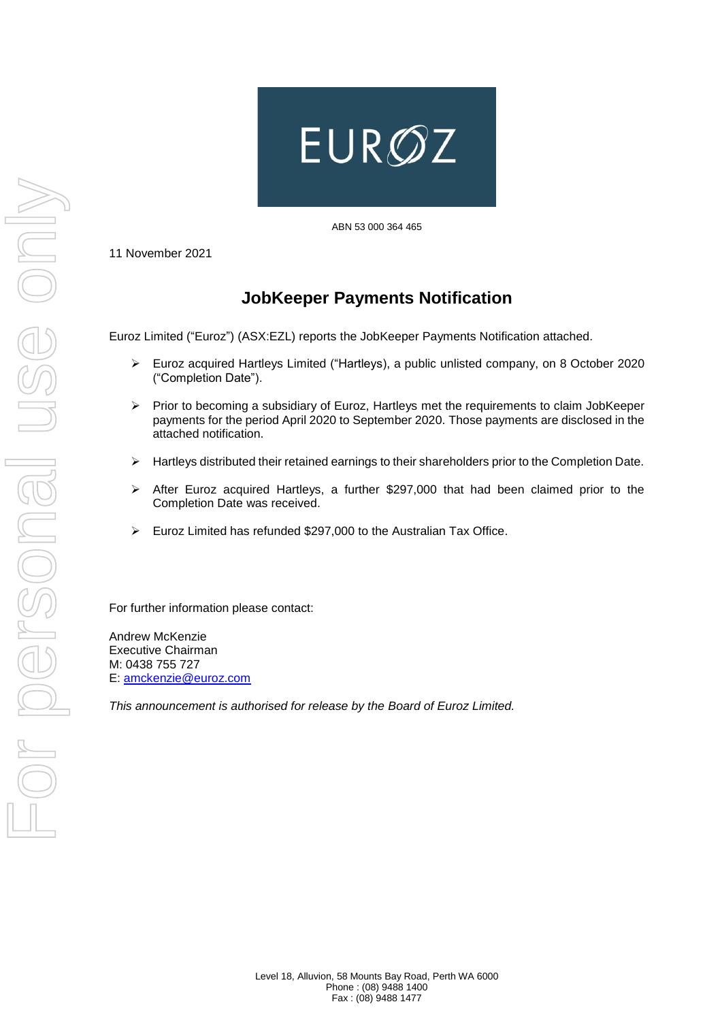

ABN 53 000 364 465

11 November 2021

## **JobKeeper Payments Notification**

Euroz Limited ("Euroz") (ASX:EZL) reports the JobKeeper Payments Notification attached.

- ➢ Euroz acquired Hartleys Limited ("Hartleys), a public unlisted company, on 8 October 2020 ("Completion Date").
- ➢ Prior to becoming a subsidiary of Euroz, Hartleys met the requirements to claim JobKeeper payments for the period April 2020 to September 2020. Those payments are disclosed in the attached notification.
- ➢ Hartleys distributed their retained earnings to their shareholders prior to the Completion Date.
- ➢ After Euroz acquired Hartleys, a further \$297,000 that had been claimed prior to the Completion Date was received.
- ➢ Euroz Limited has refunded \$297,000 to the Australian Tax Office.

For further information please contact:

Andrew McKenzie Executive Chairman M: 0438 755 727 E: [amckenzie@euroz.com](mailto:amckenzie@euroz.com)

*This announcement is authorised for release by the Board of Euroz Limited.*